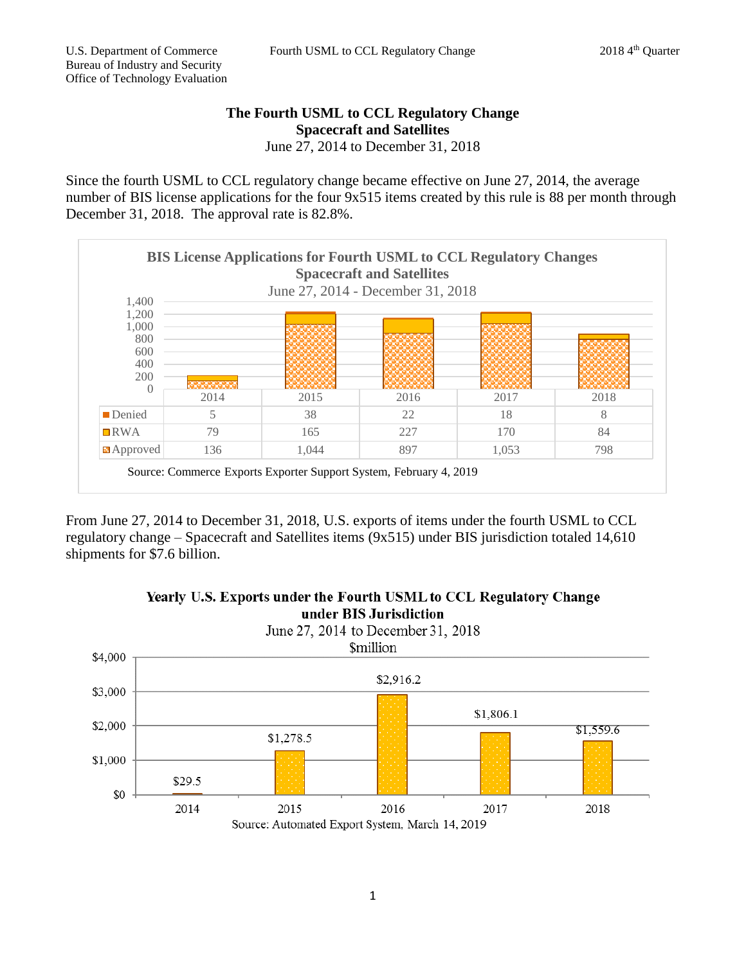## **The Fourth USML to CCL Regulatory Change Spacecraft and Satellites** June 27, 2014 to December 31, 2018

Since the fourth USML to CCL regulatory change became effective on June 27, 2014, the average number of BIS license applications for the four 9x515 items created by this rule is 88 per month through December 31, 2018. The approval rate is 82.8%.



From June 27, 2014 to December 31, 2018, U.S. exports of items under the fourth USML to CCL regulatory change – Spacecraft and Satellites items (9x515) under BIS jurisdiction totaled 14,610 shipments for \$7.6 billion.



## Yearly U.S. Exports under the Fourth USML to CCL Regulatory Change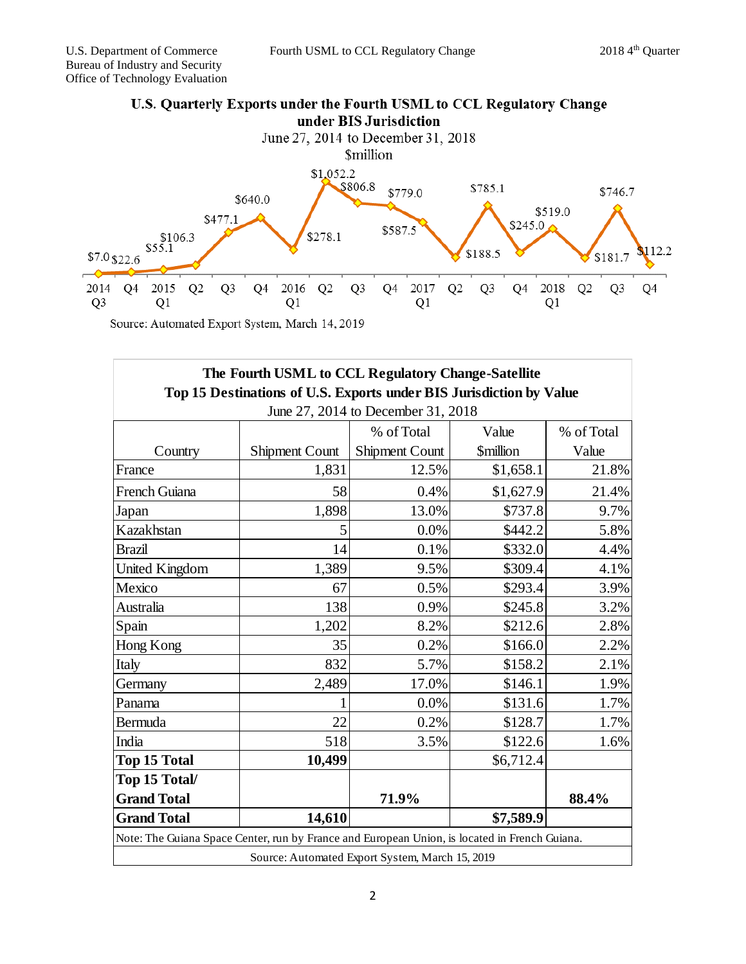

Source: Automated Export System, March 14, 2019

| The Fourth USML to CCL Regulatory Change-Satellite<br>Top 15 Destinations of U.S. Exports under BIS Jurisdiction by Value<br>June 27, 2014 to December 31, 2018 |                                                                                               |                                                 |                               |            |
|-----------------------------------------------------------------------------------------------------------------------------------------------------------------|-----------------------------------------------------------------------------------------------|-------------------------------------------------|-------------------------------|------------|
|                                                                                                                                                                 |                                                                                               |                                                 |                               |            |
|                                                                                                                                                                 |                                                                                               | % of Total                                      | Value                         | % of Total |
| Country                                                                                                                                                         | <b>Shipment Count</b>                                                                         | <b>Shipment Count</b>                           | <b><i><u>Smillion</u></i></b> | Value      |
| France                                                                                                                                                          | 1,831                                                                                         | 12.5%                                           | \$1,658.1                     | 21.8%      |
| French Guiana                                                                                                                                                   | 58                                                                                            | 0.4%                                            | \$1,627.9                     | 21.4%      |
| Japan                                                                                                                                                           | 1,898                                                                                         | 13.0%                                           | \$737.8                       | 9.7%       |
| Kazakhstan                                                                                                                                                      | 5                                                                                             | 0.0%                                            | \$442.2                       | 5.8%       |
| <b>Brazil</b>                                                                                                                                                   | 14                                                                                            | 0.1%                                            | \$332.0                       | 4.4%       |
| United Kingdom                                                                                                                                                  | 1,389                                                                                         | 9.5%                                            | \$309.4                       | 4.1%       |
| Mexico                                                                                                                                                          | 67                                                                                            | 0.5%                                            | \$293.4                       | 3.9%       |
| Australia                                                                                                                                                       | 138                                                                                           | 0.9%                                            | \$245.8                       | 3.2%       |
| Spain                                                                                                                                                           | 1,202                                                                                         | 8.2%                                            | \$212.6                       | 2.8%       |
| Hong Kong                                                                                                                                                       | 35                                                                                            | 0.2%                                            | \$166.0                       | 2.2%       |
| Italy                                                                                                                                                           | 832                                                                                           | 5.7%                                            | \$158.2                       | 2.1%       |
| Germany                                                                                                                                                         | 2,489                                                                                         | 17.0%                                           | \$146.1                       | 1.9%       |
| Panama                                                                                                                                                          |                                                                                               | 0.0%                                            | \$131.6                       | 1.7%       |
| Bermuda                                                                                                                                                         | 22                                                                                            | 0.2%                                            | \$128.7                       | 1.7%       |
| India                                                                                                                                                           | 518                                                                                           | 3.5%                                            | \$122.6                       | 1.6%       |
| Top 15 Total                                                                                                                                                    | 10,499                                                                                        |                                                 | \$6,712.4                     |            |
| Top 15 Total/                                                                                                                                                   |                                                                                               |                                                 |                               |            |
| <b>Grand Total</b>                                                                                                                                              |                                                                                               | 71.9%                                           |                               | 88.4%      |
| <b>Grand Total</b>                                                                                                                                              | 14,610                                                                                        |                                                 | \$7,589.9                     |            |
|                                                                                                                                                                 | Note: The Guiana Space Center, run by France and European Union, is located in French Guiana. |                                                 |                               |            |
|                                                                                                                                                                 |                                                                                               | Source: Automated Export System, March 15, 2019 |                               |            |